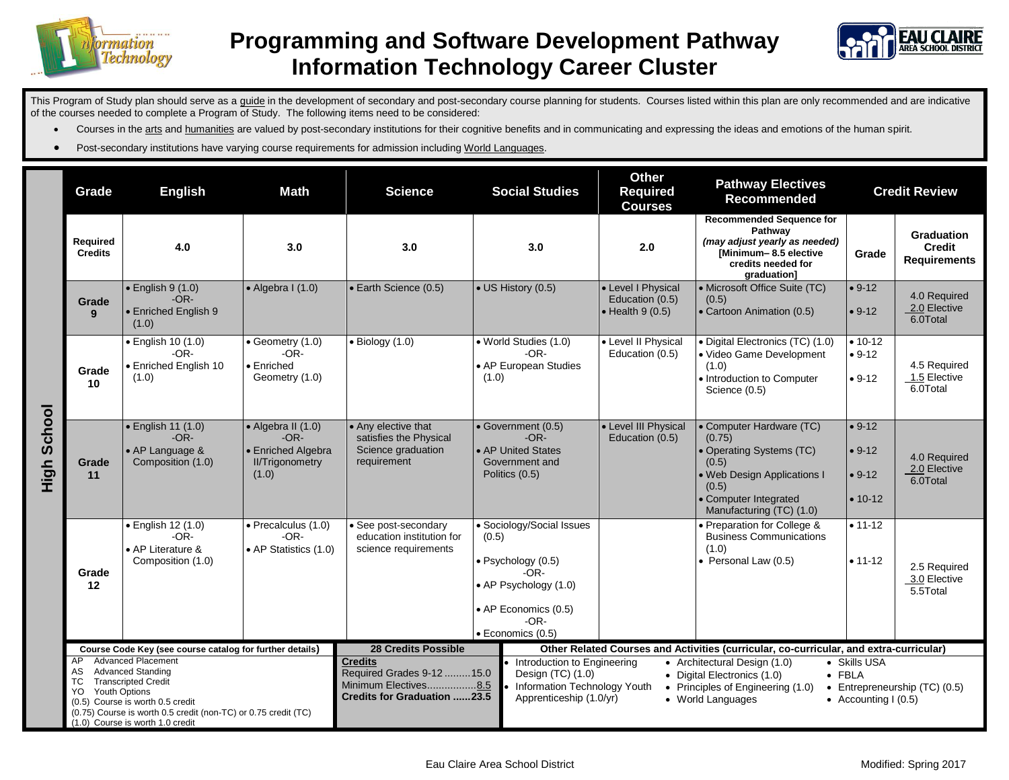



This Program of Study plan should serve as a guide in the development of secondary and post-secondary course planning for students. Courses listed within this plan are only recommended and are indicative of the courses needed to complete a Program of Study. The following items need to be considered:

- Courses in the arts and humanities are valued by post-secondary institutions for their cognitive benefits and in communicating and expressing the ideas and emotions of the human spirit.
- **•** Post-secondary institutions have varying course requirements for admission including World Languages.

|                | Grade                                                                                                                                                                                                                                                                                       | <b>English</b>                                                         | <b>Math</b>                                                                                   | <b>Science</b>                                                                                                                                                                                                                                                                                                                                                                                                                                | <b>Social Studies</b>                                                                                                                            | <b>Other</b><br><b>Required</b><br><b>Courses</b>                 | <b>Pathway Electives</b><br><b>Recommended</b>                                                                                                                     |                                               | <b>Credit Review</b>                                      |
|----------------|---------------------------------------------------------------------------------------------------------------------------------------------------------------------------------------------------------------------------------------------------------------------------------------------|------------------------------------------------------------------------|-----------------------------------------------------------------------------------------------|-----------------------------------------------------------------------------------------------------------------------------------------------------------------------------------------------------------------------------------------------------------------------------------------------------------------------------------------------------------------------------------------------------------------------------------------------|--------------------------------------------------------------------------------------------------------------------------------------------------|-------------------------------------------------------------------|--------------------------------------------------------------------------------------------------------------------------------------------------------------------|-----------------------------------------------|-----------------------------------------------------------|
|                | Required<br><b>Credits</b>                                                                                                                                                                                                                                                                  | 4.0                                                                    | 3.0                                                                                           | 3.0                                                                                                                                                                                                                                                                                                                                                                                                                                           | 3.0                                                                                                                                              | 2.0                                                               | <b>Recommended Sequence for</b><br>Pathway<br>(may adjust yearly as needed)<br>[Minimum-8.5 elective<br>credits needed for<br>graduation]                          | Grade                                         | <b>Graduation</b><br><b>Credit</b><br><b>Requirements</b> |
| School<br>High | Grade<br>9                                                                                                                                                                                                                                                                                  | $\bullet$ English 9 (1.0)<br>$-OR-$<br>• Enriched English 9<br>(1.0)   | $\bullet$ Algebra I (1.0)                                                                     | • Earth Science (0.5)                                                                                                                                                                                                                                                                                                                                                                                                                         | • US History (0.5)                                                                                                                               | • Level I Physical<br>Education (0.5)<br>$\bullet$ Health 9 (0.5) | • Microsoft Office Suite (TC)<br>(0.5)<br>• Cartoon Animation (0.5)                                                                                                | $• 9-12$<br>$• 9-12$                          | 4.0 Required<br>2.0 Elective<br>6.0Total                  |
|                | Grade<br>10                                                                                                                                                                                                                                                                                 | · English 10 (1.0)<br>$-OR-$<br>• Enriched English 10<br>(1.0)         | $\bullet$ Geometry (1.0)<br>$-OR-$<br>• Enriched<br>Geometry (1.0)                            | $\bullet$ Biology (1.0)                                                                                                                                                                                                                                                                                                                                                                                                                       | • World Studies (1.0)<br>$-OR-$<br>• AP European Studies<br>(1.0)                                                                                | • Level II Physical<br>Education (0.5)                            | · Digital Electronics (TC) (1.0)<br>· Video Game Development<br>(1.0)<br>• Introduction to Computer<br>Science (0.5)                                               | $• 10 - 12$<br>$• 9-12$<br>$• 9-12$           | 4.5 Required<br>1.5 Elective<br>6.0Total                  |
|                | Grade<br>11                                                                                                                                                                                                                                                                                 | · English 11 (1.0)<br>$-OR-$<br>• AP Language &<br>Composition (1.0)   | $\bullet$ Algebra II (1.0)<br>$-OR-$<br>• Enriched Algebra<br><b>II/Trigonometry</b><br>(1.0) | • Any elective that<br>satisfies the Physical<br>Science graduation<br>requirement                                                                                                                                                                                                                                                                                                                                                            | • Government (0.5)<br>$-OR-$<br>• AP United States<br>Government and<br>Politics (0.5)                                                           | • Level III Physical<br>Education (0.5)                           | • Computer Hardware (TC)<br>(0.75)<br>• Operating Systems (TC)<br>(0.5)<br>• Web Design Applications I<br>(0.5)<br>Computer Integrated<br>Manufacturing (TC) (1.0) | $• 9-12$<br>$• 9-12$<br>$• 9-12$<br>$• 10-12$ | 4.0 Required<br>2.0 Elective<br>6.0Total                  |
|                | Grade<br>12                                                                                                                                                                                                                                                                                 | · English 12 (1.0)<br>$-OR-$<br>• AP Literature &<br>Composition (1.0) | $\bullet$ Precalculus (1.0)<br>$-OR-$<br>• AP Statistics (1.0)                                | • See post-secondary<br>education institution for<br>science requirements                                                                                                                                                                                                                                                                                                                                                                     | • Sociology/Social Issues<br>(0.5)<br>· Psychology (0.5)<br>-OR-<br>• AP Psychology (1.0)<br>• AP Economics (0.5)<br>$-OR-$<br>· Economics (0.5) |                                                                   | • Preparation for College &<br><b>Business Communications</b><br>(1.0)<br>• Personal Law (0.5)                                                                     | $• 11 - 12$<br>$• 11 - 12$                    | 2.5 Required<br>3.0 Elective<br>5.5Total                  |
|                | Course Code Key (see course catalog for further details)                                                                                                                                                                                                                                    |                                                                        |                                                                                               | 28 Credits Possible<br>Other Related Courses and Activities (curricular, co-curricular, and extra-curricular)                                                                                                                                                                                                                                                                                                                                 |                                                                                                                                                  |                                                                   |                                                                                                                                                                    |                                               |                                                           |
|                | <b>Advanced Placement</b><br><b>AP</b><br><b>Advanced Standing</b><br>AS<br><b>Transcripted Credit</b><br><b>TC</b><br><b>Youth Options</b><br>YO<br>(0.5) Course is worth 0.5 credit<br>(0.75) Course is worth 0.5 credit (non-TC) or 0.75 credit (TC)<br>(1.0) Course is worth 1.0 credit |                                                                        |                                                                                               | <b>Credits</b><br>• Architectural Design (1.0)<br>• Skills USA<br>Introduction to Engineering<br>Required Grades 9-12  15.0<br>Design (TC) (1.0)<br>• Digital Electronics (1.0)<br>$\bullet$ FBLA<br>Minimum Electives8.5<br>Information Technology Youth<br>• Principles of Engineering (1.0)<br>• Entrepreneurship (TC) (0.5)<br><b>Credits for Graduation 23.5</b><br>Apprenticeship (1.0/yr)<br>• World Languages<br>• Accounting $(0.5)$ |                                                                                                                                                  |                                                                   |                                                                                                                                                                    |                                               |                                                           |